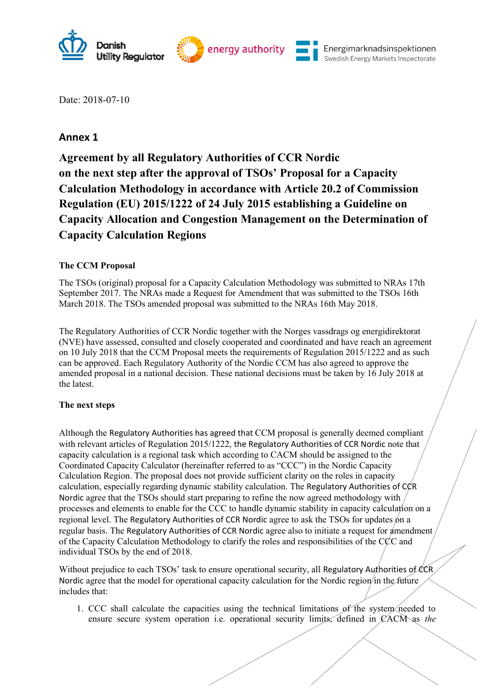

Date: 2018-07-10

## **Annex 1**

**Agreement by all Regulatory Authorities of CCR Nordic on the next step after the approval of TSOs' Proposal for a Capacity Calculation Methodology in accordance with Article 20.2 of Commission Regulation (EU) 2015/1222 of 24 July 2015 establishing a Guideline on Capacity Allocation and Congestion Management on the Determination of Capacity Calculation Regions** 

## **The CCM Proposal**

The TSOs (original) proposal for a Capacity Calculation Methodology was submitted to NRAs 17th September 2017. The NRAs made a Request for Amendment that was submitted to the TSOs 16th March 2018. The TSOs amended proposal was submitted to the NRAs 16th May 2018.

The Regulatory Authorities of CCR Nordic together with the Norges vassdrags og energidirektorat (NVE) have assessed, consulted and closely cooperated and coordinated and have reach an agreement on 10 July 2018 that the CCM Proposal meets the requirements of Regulation 2015/1222 and as such can be approved. Each Regulatory Authority of the Nordic CCM has also agreed to approve the amended proposal in a national decision. These national decisions must be taken by 16 July 2018 at the latest.

## **The next steps**

Although the Regulatory Authorities has agreed that CCM proposal is generally deemed compliant with relevant articles of Regulation 2015/1222, the Regulatory Authorities of CCR Nordic note that capacity calculation is a regional task which according to CACM should be assigned to the Coordinated Capacity Calculator (hereinafter referred to as "CCC") in the Nordic Capacity Calculation Region. The proposal does not provide sufficient clarity on the roles in capacity calculation, especially regarding dynamic stability calculation. The Regulatory Authorities of CCR Nordic agree that the TSOs should start preparing to refine the now agreed methodology with processes and elements to enable for the CCC to handle dynamic stability in capacity calculation on a regional level. The Regulatory Authorities of CCR Nordic agree to ask the TSOs for updates on a regular basis. The Regulatory Authorities of CCR Nordic agree also to initiate a request for amendment of the Capacity Calculation Methodology to clarify the roles and responsibilities of the  $C\&C$  and individual TSOs by the end of 2018.

Without prejudice to each TSOs' task to ensure operational security, all Regulatory Authorities of CCR Nordic agree that the model for operational capacity calculation for the Nordic region in the future includes that:

1. CCC shall calculate the capacities using the technical limitations of the system needed to ensure secure system operation i.e. operational security limits, defined in CACM as *the*